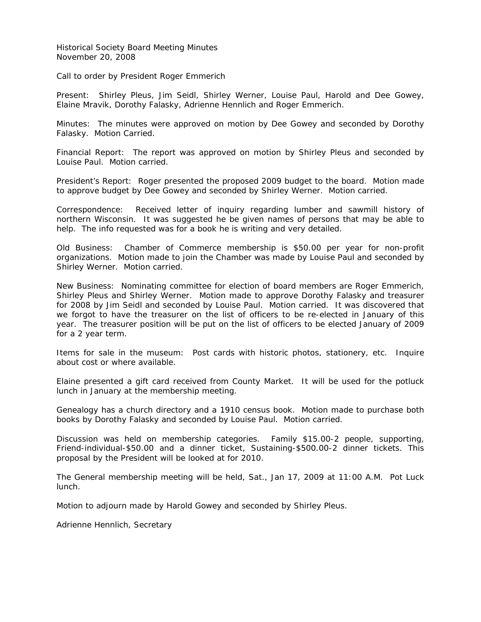Historical Society Board Meeting Minutes November 20, 2008

Call to order by President Roger Emmerich

Present: Shirley Pleus, Jim Seidl, Shirley Werner, Louise Paul, Harold and Dee Gowey, Elaine Mravik, Dorothy Falasky, Adrienne Hennlich and Roger Emmerich.

Minutes: The minutes were approved on motion by Dee Gowey and seconded by Dorothy Falasky. Motion Carried.

Financial Report: The report was approved on motion by Shirley Pleus and seconded by Louise Paul. Motion carried.

President's Report: Roger presented the proposed 2009 budget to the board. Motion made to approve budget by Dee Gowey and seconded by Shirley Werner. Motion carried.

Correspondence: Received letter of inquiry regarding lumber and sawmill history of northern Wisconsin. It was suggested he be given names of persons that may be able to help. The info requested was for a book he is writing and very detailed.

Old Business: Chamber of Commerce membership is \$50.00 per year for non-profit organizations. Motion made to join the Chamber was made by Louise Paul and seconded by Shirley Werner. Motion carried.

New Business: Nominating committee for election of board members are Roger Emmerich, Shirley Pleus and Shirley Werner. Motion made to approve Dorothy Falasky and treasurer for 2008 by Jim Seidl and seconded by Louise Paul. Motion carried. It was discovered that we forgot to have the treasurer on the list of officers to be re-elected in January of this year. The treasurer position will be put on the list of officers to be elected January of 2009 for a 2 year term.

Items for sale in the museum: Post cards with historic photos, stationery, etc. Inquire about cost or where available.

Elaine presented a gift card received from County Market. It will be used for the potluck lunch in January at the membership meeting.

Genealogy has a church directory and a 1910 census book. Motion made to purchase both books by Dorothy Falasky and seconded by Louise Paul. Motion carried.

Discussion was held on membership categories. Family \$15.00-2 people, supporting, Friend-individual-\$50.00 and a dinner ticket, Sustaining-\$500.00-2 dinner tickets. This proposal by the President will be looked at for 2010.

The General membership meeting will be held, Sat., Jan 17, 2009 at 11:00 A.M. Pot Luck lunch.

Motion to adjourn made by Harold Gowey and seconded by Shirley Pleus.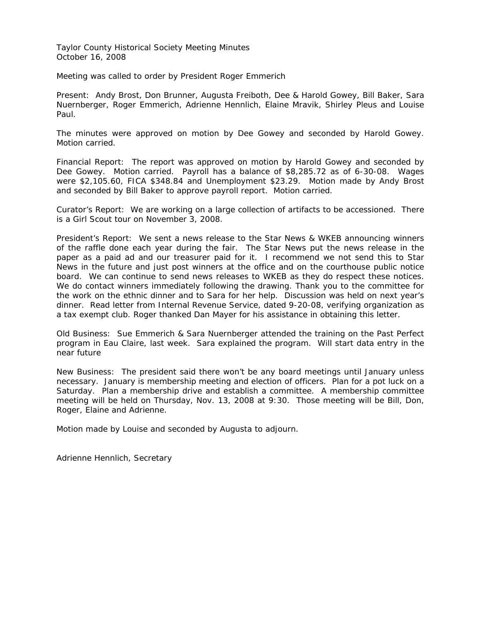Taylor County Historical Society Meeting Minutes October 16, 2008

Meeting was called to order by President Roger Emmerich

Present: Andy Brost, Don Brunner, Augusta Freiboth, Dee & Harold Gowey, Bill Baker, Sara Nuernberger, Roger Emmerich, Adrienne Hennlich, Elaine Mravik, Shirley Pleus and Louise Paul.

The minutes were approved on motion by Dee Gowey and seconded by Harold Gowey. Motion carried.

Financial Report: The report was approved on motion by Harold Gowey and seconded by Dee Gowey. Motion carried. Payroll has a balance of \$8,285.72 as of 6-30-08. Wages were \$2,105.60, FICA \$348.84 and Unemployment \$23.29. Motion made by Andy Brost and seconded by Bill Baker to approve payroll report. Motion carried.

Curator's Report: We are working on a large collection of artifacts to be accessioned. There is a Girl Scout tour on November 3, 2008.

President's Report: We sent a news release to the Star News & WKEB announcing winners of the raffle done each year during the fair. The Star News put the news release in the paper as a paid ad and our treasurer paid for it. I recommend we not send this to Star News in the future and just post winners at the office and on the courthouse public notice board. We can continue to send news releases to WKEB as they do respect these notices. We do contact winners immediately following the drawing. Thank you to the committee for the work on the ethnic dinner and to Sara for her help. Discussion was held on next year's dinner. Read letter from Internal Revenue Service, dated 9-20-08, verifying organization as a tax exempt club. Roger thanked Dan Mayer for his assistance in obtaining this letter.

Old Business: Sue Emmerich & Sara Nuernberger attended the training on the Past Perfect program in Eau Claire, last week. Sara explained the program. Will start data entry in the near future

New Business: The president said there won't be any board meetings until January unless necessary. January is membership meeting and election of officers. Plan for a pot luck on a Saturday. Plan a membership drive and establish a committee. A membership committee meeting will be held on Thursday, Nov. 13, 2008 at 9:30. Those meeting will be Bill, Don, Roger, Elaine and Adrienne.

Motion made by Louise and seconded by Augusta to adjourn.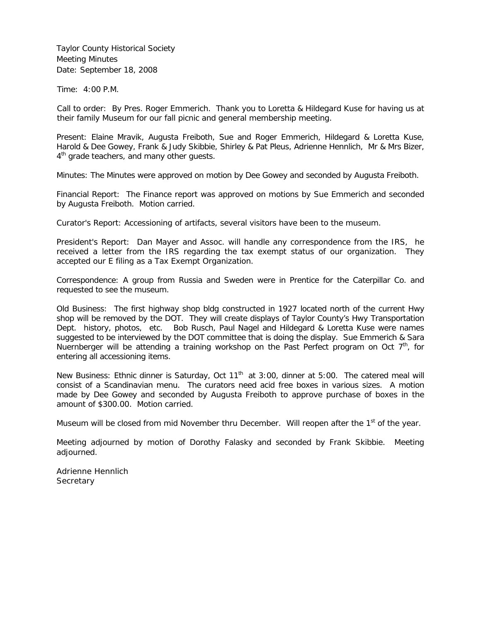Taylor County Historical Society Meeting Minutes Date: September 18, 2008

Time: 4:00 P.M.

Call to order: By Pres. Roger Emmerich. Thank you to Loretta & Hildegard Kuse for having us at their family Museum for our fall picnic and general membership meeting.

Present: Elaine Mravik, Augusta Freiboth, Sue and Roger Emmerich, Hildegard & Loretta Kuse, Harold & Dee Gowey, Frank & Judy Skibbie, Shirley & Pat Pleus, Adrienne Hennlich, Mr & Mrs Bizer, 4<sup>th</sup> grade teachers, and many other quests.

Minutes: The Minutes were approved on motion by Dee Gowey and seconded by Augusta Freiboth.

Financial Report: The Finance report was approved on motions by Sue Emmerich and seconded by Augusta Freiboth. Motion carried.

Curator's Report: Accessioning of artifacts, several visitors have been to the museum.

President's Report: Dan Mayer and Assoc. will handle any correspondence from the IRS, he received a letter from the IRS regarding the tax exempt status of our organization. They accepted our E filing as a Tax Exempt Organization.

Correspondence: A group from Russia and Sweden were in Prentice for the Caterpillar Co. and requested to see the museum.

Old Business: The first highway shop bldg constructed in 1927 located north of the current Hwy shop will be removed by the DOT. They will create displays of Taylor County's Hwy Transportation Dept. history, photos, etc. Bob Rusch, Paul Nagel and Hildegard & Loretta Kuse were names suggested to be interviewed by the DOT committee that is doing the display. Sue Emmerich & Sara Nuernberger will be attending a training workshop on the Past Perfect program on Oct  $7<sup>th</sup>$ , for entering all accessioning items.

New Business: Ethnic dinner is Saturday, Oct 11<sup>th</sup> at 3:00, dinner at 5:00. The catered meal will consist of a Scandinavian menu. The curators need acid free boxes in various sizes. A motion made by Dee Gowey and seconded by Augusta Freiboth to approve purchase of boxes in the amount of \$300.00. Motion carried.

Museum will be closed from mid November thru December. Will reopen after the  $1<sup>st</sup>$  of the year.

Meeting adjourned by motion of Dorothy Falasky and seconded by Frank Skibbie. Meeting adiourned.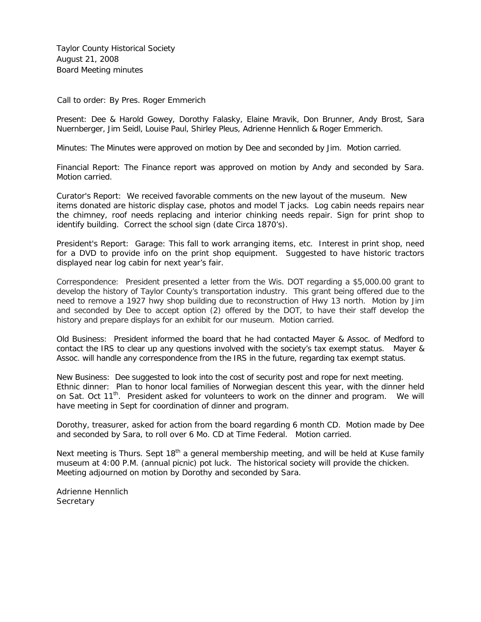Taylor County Historical Society August 21, 2008 Board Meeting minutes

Call to order: By Pres. Roger Emmerich

Present: Dee & Harold Gowey, Dorothy Falasky, Elaine Mravik, Don Brunner, Andy Brost, Sara Nuernberger, Jim Seidl, Louise Paul, Shirley Pleus, Adrienne Hennlich & Roger Emmerich.

Minutes: The Minutes were approved on motion by Dee and seconded by Jim. Motion carried.

Financial Report: The Finance report was approved on motion by Andy and seconded by Sara. Motion carried.

Curator's Report: We received favorable comments on the new layout of the museum. New items donated are historic display case, photos and model T jacks. Log cabin needs repairs near the chimney, roof needs replacing and interior chinking needs repair. Sign for print shop to identify building. Correct the school sign (date Circa 1870's).

President's Report: Garage: This fall to work arranging items, etc. Interest in print shop, need for a DVD to provide info on the print shop equipment. Suggested to have historic tractors displayed near log cabin for next year's fair.

Correspondence: President presented a letter from the Wis. DOT regarding a \$5,000.00 grant to develop the history of Taylor County's transportation industry. This grant being offered due to the need to remove a 1927 hwy shop building due to reconstruction of Hwy 13 north. Motion by Jim and seconded by Dee to accept option (2) offered by the DOT, to have their staff develop the history and prepare displays for an exhibit for our museum. Motion carried.

Old Business: President informed the board that he had contacted Mayer & Assoc. of Medford to contact the IRS to clear up any questions involved with the society's tax exempt status. Mayer & Assoc. will handle any correspondence from the IRS in the future, regarding tax exempt status.

New Business: Dee suggested to look into the cost of security post and rope for next meeting. Ethnic dinner: Plan to honor local families of Norwegian descent this year, with the dinner held on Sat. Oct 11<sup>th</sup>. President asked for volunteers to work on the dinner and program. We will have meeting in Sept for coordination of dinner and program.

Dorothy, treasurer, asked for action from the board regarding 6 month CD. Motion made by Dee and seconded by Sara, to roll over 6 Mo. CD at Time Federal. Motion carried.

Next meeting is Thurs. Sept 18<sup>th</sup> a general membership meeting, and will be held at Kuse family museum at 4:00 P.M. (annual picnic) pot luck. The historical society will provide the chicken. Meeting adjourned on motion by Dorothy and seconded by Sara.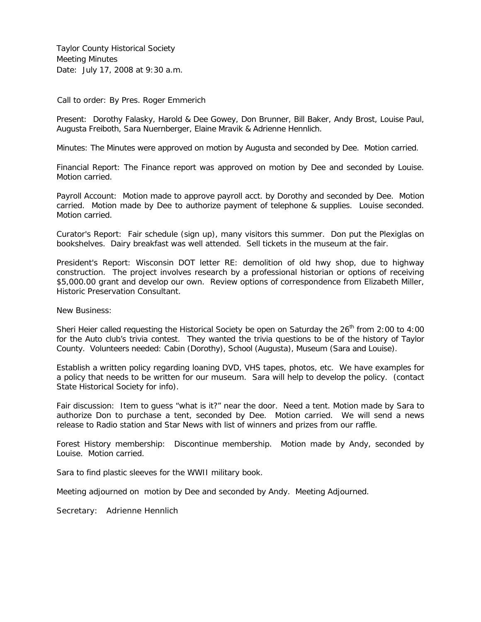Taylor County Historical Society Meeting Minutes Date: July 17, 2008 at 9:30 a.m.

Call to order: By Pres. Roger Emmerich

Present: Dorothy Falasky, Harold & Dee Gowey, Don Brunner, Bill Baker, Andy Brost, Louise Paul, Augusta Freiboth, Sara Nuernberger, Elaine Mravik & Adrienne Hennlich.

Minutes: The Minutes were approved on motion by Augusta and seconded by Dee. Motion carried.

Financial Report: The Finance report was approved on motion by Dee and seconded by Louise. Motion carried.

Payroll Account: Motion made to approve payroll acct. by Dorothy and seconded by Dee. Motion carried. Motion made by Dee to authorize payment of telephone & supplies. Louise seconded. Motion carried.

Curator's Report: Fair schedule (sign up), many visitors this summer. Don put the Plexiglas on bookshelves. Dairy breakfast was well attended. Sell tickets in the museum at the fair.

President's Report: Wisconsin DOT letter RE: demolition of old hwy shop, due to highway construction. The project involves research by a professional historian or options of receiving \$5,000.00 grant and develop our own. Review options of correspondence from Elizabeth Miller, Historic Preservation Consultant.

New Business:

Sheri Heier called requesting the Historical Society be open on Saturday the  $26<sup>th</sup>$  from 2:00 to 4:00 for the Auto club's trivia contest. They wanted the trivia questions to be of the history of Taylor County. Volunteers needed: Cabin (Dorothy), School (Augusta), Museum (Sara and Louise).

Establish a written policy regarding loaning DVD, VHS tapes, photos, etc. We have examples for a policy that needs to be written for our museum. Sara will help to develop the policy. (contact State Historical Society for info).

Fair discussion: Item to guess "what is it?" near the door. Need a tent. Motion made by Sara to authorize Don to purchase a tent, seconded by Dee. Motion carried. We will send a news release to Radio station and Star News with list of winners and prizes from our raffle.

Forest History membership: Discontinue membership. Motion made by Andy, seconded by Louise. Motion carried.

Sara to find plastic sleeves for the WWII military book.

Meeting adjourned on motion by Dee and seconded by Andy. Meeting Adjourned.

Secretary: Adrienne Hennlich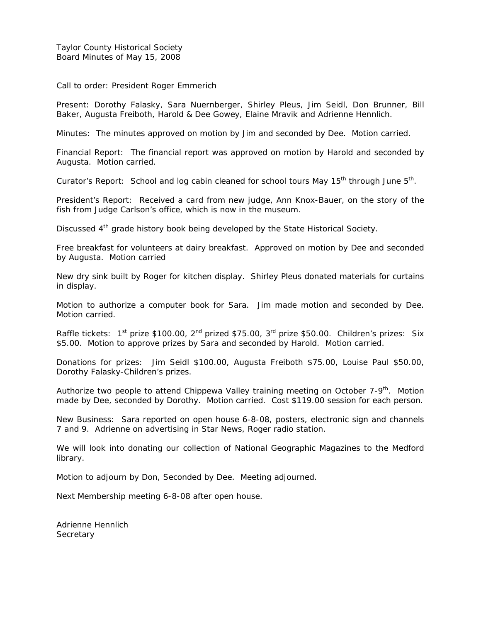Taylor County Historical Society Board Minutes of May 15, 2008

Call to order: President Roger Emmerich

Present: Dorothy Falasky, Sara Nuernberger, Shirley Pleus, Jim Seidl, Don Brunner, Bill Baker, Augusta Freiboth, Harold & Dee Gowey, Elaine Mravik and Adrienne Hennlich.

Minutes: The minutes approved on motion by Jim and seconded by Dee. Motion carried.

Financial Report: The financial report was approved on motion by Harold and seconded by Augusta. Motion carried.

Curator's Report: School and log cabin cleaned for school tours May  $15<sup>th</sup>$  through June  $5<sup>th</sup>$ .

President's Report: Received a card from new judge, Ann Knox-Bauer, on the story of the fish from Judge Carlson's office, which is now in the museum.

Discussed 4<sup>th</sup> grade history book being developed by the State Historical Society.

Free breakfast for volunteers at dairy breakfast. Approved on motion by Dee and seconded by Augusta. Motion carried

New dry sink built by Roger for kitchen display. Shirley Pleus donated materials for curtains in display.

Motion to authorize a computer book for Sara. Jim made motion and seconded by Dee. Motion carried.

Raffle tickets: 1<sup>st</sup> prize \$100.00, 2<sup>nd</sup> prized \$75.00, 3<sup>rd</sup> prize \$50.00. Children's prizes: Six \$5.00. Motion to approve prizes by Sara and seconded by Harold. Motion carried.

Donations for prizes: Jim Seidl \$100.00, Augusta Freiboth \$75.00, Louise Paul \$50.00, Dorothy Falasky-Children's prizes.

Authorize two people to attend Chippewa Valley training meeting on October  $7-9<sup>th</sup>$ . Motion made by Dee, seconded by Dorothy. Motion carried. Cost \$119.00 session for each person.

New Business: Sara reported on open house 6-8-08, posters, electronic sign and channels 7 and 9. Adrienne on advertising in Star News, Roger radio station.

We will look into donating our collection of National Geographic Magazines to the Medford library.

Motion to adjourn by Don, Seconded by Dee. Meeting adjourned.

Next Membership meeting 6-8-08 after open house.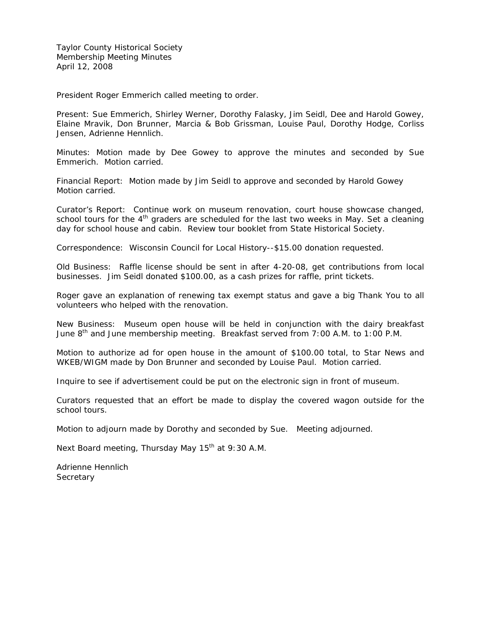President Roger Emmerich called meeting to order.

Present: Sue Emmerich, Shirley Werner, Dorothy Falasky, Jim Seidl, Dee and Harold Gowey, Elaine Mravik, Don Brunner, Marcia & Bob Grissman, Louise Paul, Dorothy Hodge, Corliss Jensen, Adrienne Hennlich.

Minutes: Motion made by Dee Gowey to approve the minutes and seconded by Sue Emmerich. Motion carried.

Financial Report: Motion made by Jim Seidl to approve and seconded by Harold Gowey Motion carried.

Curator's Report: Continue work on museum renovation, court house showcase changed, school tours for the  $4<sup>th</sup>$  graders are scheduled for the last two weeks in May. Set a cleaning day for school house and cabin. Review tour booklet from State Historical Society.

Correspondence: Wisconsin Council for Local History--\$15.00 donation requested.

Old Business: Raffle license should be sent in after 4-20-08, get contributions from local businesses. Jim Seidl donated \$100.00, as a cash prizes for raffle, print tickets.

Roger gave an explanation of renewing tax exempt status and gave a big Thank You to all volunteers who helped with the renovation.

New Business: Museum open house will be held in conjunction with the dairy breakfast June 8<sup>th</sup> and June membership meeting. Breakfast served from 7:00 A.M. to 1:00 P.M.

Motion to authorize ad for open house in the amount of \$100.00 total, to Star News and WKEB/WIGM made by Don Brunner and seconded by Louise Paul. Motion carried.

Inquire to see if advertisement could be put on the electronic sign in front of museum.

Curators requested that an effort be made to display the covered wagon outside for the school tours.

Motion to adjourn made by Dorothy and seconded by Sue. Meeting adjourned.

Next Board meeting, Thursday May  $15<sup>th</sup>$  at 9:30 A.M.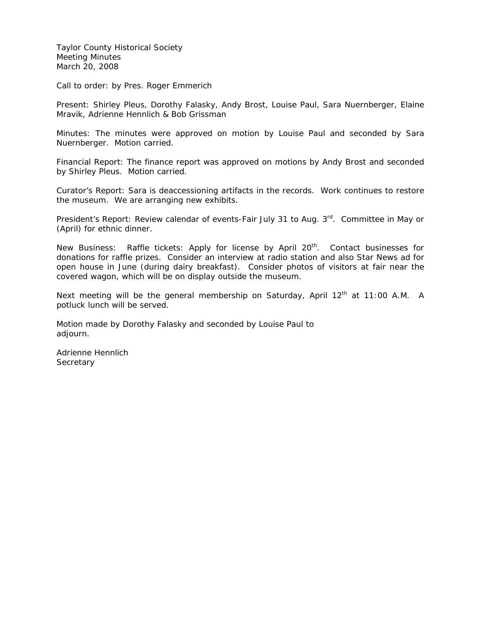Taylor County Historical Society Meeting Minutes March 20, 2008

Call to order: by Pres. Roger Emmerich

Present: Shirley Pleus, Dorothy Falasky, Andy Brost, Louise Paul, Sara Nuernberger, Elaine Mravik, Adrienne Hennlich & Bob Grissman

Minutes: The minutes were approved on motion by Louise Paul and seconded by Sara Nuernberger. Motion carried.

Financial Report: The finance report was approved on motions by Andy Brost and seconded by Shirley Pleus. Motion carried.

Curator's Report: Sara is deaccessioning artifacts in the records. Work continues to restore the museum. We are arranging new exhibits.

President's Report: Review calendar of events-Fair July 31 to Aug. 3<sup>rd</sup>. Committee in May or (April) for ethnic dinner.

New Business: Raffle tickets: Apply for license by April 20<sup>th</sup>. Contact businesses for donations for raffle prizes. Consider an interview at radio station and also Star News ad for open house in June (during dairy breakfast). Consider photos of visitors at fair near the covered wagon, which will be on display outside the museum.

Next meeting will be the general membership on Saturday, April  $12<sup>th</sup>$  at 11:00 A.M. A potluck lunch will be served.

Motion made by Dorothy Falasky and seconded by Louise Paul to adjourn.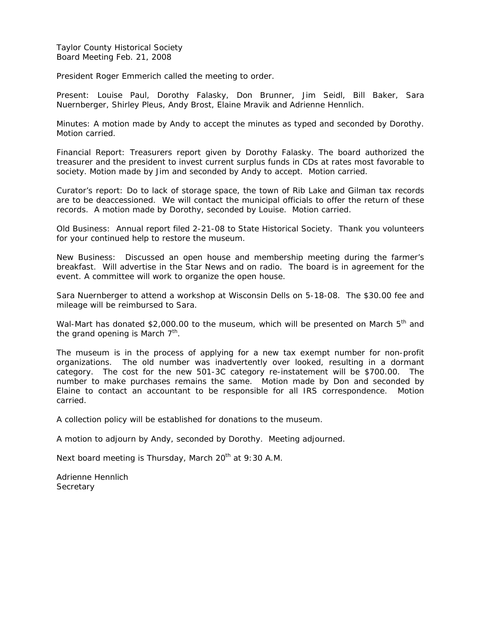Taylor County Historical Society Board Meeting Feb. 21, 2008

President Roger Emmerich called the meeting to order.

Present: Louise Paul, Dorothy Falasky, Don Brunner, Jim Seidl, Bill Baker, Sara Nuernberger, Shirley Pleus, Andy Brost, Elaine Mravik and Adrienne Hennlich.

Minutes: A motion made by Andy to accept the minutes as typed and seconded by Dorothy. Motion carried.

Financial Report: Treasurers report given by Dorothy Falasky. The board authorized the treasurer and the president to invest current surplus funds in CDs at rates most favorable to society. Motion made by Jim and seconded by Andy to accept. Motion carried.

Curator's report: Do to lack of storage space, the town of Rib Lake and Gilman tax records are to be deaccessioned. We will contact the municipal officials to offer the return of these records. A motion made by Dorothy, seconded by Louise. Motion carried.

Old Business: Annual report filed 2-21-08 to State Historical Society. Thank you volunteers for your continued help to restore the museum.

New Business: Discussed an open house and membership meeting during the farmer's breakfast. Will advertise in the Star News and on radio. The board is in agreement for the event. A committee will work to organize the open house.

Sara Nuernberger to attend a workshop at Wisconsin Dells on 5-18-08. The \$30.00 fee and mileage will be reimbursed to Sara.

Wal-Mart has donated \$2,000.00 to the museum, which will be presented on March 5<sup>th</sup> and the grand opening is March  $7<sup>th</sup>$ .

The museum is in the process of applying for a new tax exempt number for non-profit organizations. The old number was inadvertently over looked, resulting in a dormant category. The cost for the new 501-3C category re-instatement will be \$700.00. The number to make purchases remains the same. Motion made by Don and seconded by Elaine to contact an accountant to be responsible for all IRS correspondence. Motion carried.

A collection policy will be established for donations to the museum.

A motion to adjourn by Andy, seconded by Dorothy. Meeting adjourned.

Next board meeting is Thursday, March  $20<sup>th</sup>$  at 9:30 A.M.